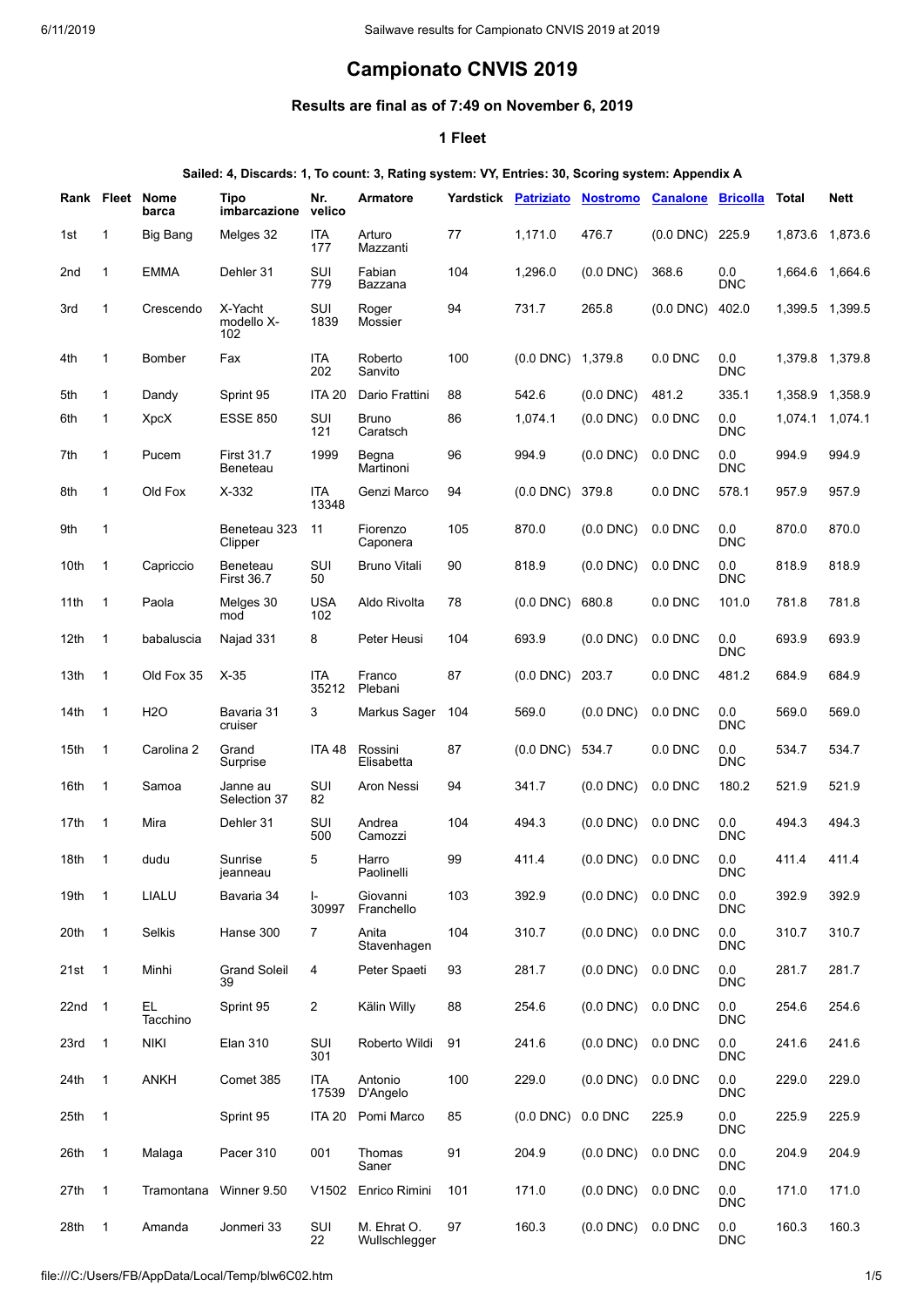# **Campionato CNVIS 2019**

# **Results are final as of 7:49 on November 6, 2019**

#### **1 Fleet**

#### **Sailed: 4, Discards: 1, To count: 3, Rating system: VY, Entries: 30, Scoring system: Appendix A**

|                  |                | Rank Fleet Nome<br>barca | Tipo<br>imbarcazione          | Nr.<br>velico       | <b>Armatore</b>              | Yardstick | <b>Patriziato</b> | <b>Nostromo</b> | <b>Canalone</b> | <b>Bricolla</b>       | Total   | <b>Nett</b> |
|------------------|----------------|--------------------------|-------------------------------|---------------------|------------------------------|-----------|-------------------|-----------------|-----------------|-----------------------|---------|-------------|
| 1st              | 1              | Big Bang                 | Melges 32                     | <b>ITA</b><br>177   | Arturo<br>Mazzanti           | 77        | 1,171.0           | 476.7           | $(0.0$ DNC $)$  | 225.9                 | 1.873.6 | 1,873.6     |
| 2nd              | 1              | <b>EMMA</b>              | Dehler 31                     | SUI<br>779          | Fabian<br>Bazzana            | 104       | 1,296.0           | $(0.0$ DNC $)$  | 368.6           | $0.0\,$<br><b>DNC</b> | 1,664.6 | 1.664.6     |
| 3rd              | $\mathbf{1}$   | Crescendo                | X-Yacht<br>modello X-<br>102  | SUI<br>1839         | Roger<br>Mossier             | 94        | 731.7             | 265.8           | $(0.0$ DNC $)$  | 402.0                 | 1,399.5 | 1,399.5     |
| 4th              | 1              | Bomber                   | Fax                           | ITA<br>202          | Roberto<br>Sanvito           | 100       | $(0.0$ DNC)       | 1,379.8         | $0.0$ DNC       | $0.0\,$<br><b>DNC</b> | 1,379.8 | 1.379.8     |
| 5th              | $\mathbf{1}$   | Dandy                    | Sprint 95                     | <b>ITA 20</b>       | Dario Frattini               | 88        | 542.6             | $(0.0$ DNC)     | 481.2           | 335.1                 | 1,358.9 | 1,358.9     |
| 6th              | 1              | XpcX                     | <b>ESSE 850</b>               | SUI<br>121          | <b>Bruno</b><br>Caratsch     | 86        | 1,074.1           | $(0.0$ DNC $)$  | $0.0$ DNC       | $0.0\,$<br><b>DNC</b> | 1,074.1 | 1,074.1     |
| 7th              | 1              | Pucem                    | <b>First 31.7</b><br>Beneteau | 1999                | Begna<br>Martinoni           | 96        | 994.9             | $(0.0$ DNC $)$  | $0.0$ DNC       | 0.0<br><b>DNC</b>     | 994.9   | 994.9       |
| 8th              | 1              | Old Fox                  | $X-332$                       | <b>ITA</b><br>13348 | Genzi Marco                  | 94        | $(0.0$ DNC)       | 379.8           | $0.0$ DNC       | 578.1                 | 957.9   | 957.9       |
| 9th              | 1              |                          | Beneteau 323<br>Clipper       | 11                  | Fiorenzo<br>Caponera         | 105       | 870.0             | $(0.0$ DNC $)$  | $0.0$ DNC       | 0.0<br><b>DNC</b>     | 870.0   | 870.0       |
| 10th             | 1              | Capriccio                | Beneteau<br><b>First 36.7</b> | SUI<br>50           | <b>Bruno Vitali</b>          | 90        | 818.9             | $(0.0$ DNC $)$  | $0.0$ DNC       | 0.0<br><b>DNC</b>     | 818.9   | 818.9       |
| 11th             | 1              | Paola                    | Melges 30<br>mod              | <b>USA</b><br>102   | Aldo Rivolta                 | 78        | $(0.0$ DNC)       | 680.8           | $0.0$ DNC       | 101.0                 | 781.8   | 781.8       |
| 12 <sub>th</sub> | 1              | babaluscia               | Najad 331                     | 8                   | Peter Heusi                  | 104       | 693.9             | $(0.0$ DNC $)$  | $0.0$ DNC       | 0.0<br><b>DNC</b>     | 693.9   | 693.9       |
| 13th             | 1              | Old Fox 35               | $X-35$                        | <b>ITA</b><br>35212 | Franco<br>Plebani            | 87        | $(0.0$ DNC)       | 203.7           | $0.0$ DNC       | 481.2                 | 684.9   | 684.9       |
| 14th             | 1              | <b>H2O</b>               | Bavaria 31<br>cruiser         | 3                   | Markus Sager                 | 104       | 569.0             | $(0.0$ DNC)     | $0.0$ DNC       | 0.0<br><b>DNC</b>     | 569.0   | 569.0       |
| 15th             | 1              | Carolina 2               | Grand<br>Surprise             | <b>ITA 48</b>       | Rossini<br>Elisabetta        | 87        | $(0.0$ DNC)       | 534.7           | $0.0$ DNC       | 0.0<br><b>DNC</b>     | 534.7   | 534.7       |
| 16th             | 1              | Samoa                    | Janne au<br>Selection 37      | SUI<br>82           | Aron Nessi                   | 94        | 341.7             | $(0.0$ DNC)     | $0.0$ DNC       | 180.2                 | 521.9   | 521.9       |
| 17th             | $\mathbf{1}$   | Mira                     | Dehler 31                     | SUI<br>500          | Andrea<br>Camozzi            | 104       | 494.3             | $(0.0$ DNC $)$  | $0.0$ DNC       | 0.0<br><b>DNC</b>     | 494.3   | 494.3       |
| 18th             | 1              | dudu                     | Sunrise<br>jeanneau           | 5                   | Harro<br>Paolinelli          | 99        | 411.4             | $(0.0$ DNC)     | $0.0$ DNC       | 0.0<br><b>DNC</b>     | 411.4   | 411.4       |
| 19th             | $\mathbf{1}$   | LIALU                    | Bavaria 34                    | I-<br>30997         | Giovanni<br>Franchello       | 103       | 392.9             | $(0.0$ DNC $)$  | 0.0 DNC         | $0.0\,$<br><b>DNC</b> | 392.9   | 392.9       |
| 20th             | $\mathbf{1}$   | Selkis                   | Hanse 300                     | 7                   | Anita<br>Stavenhagen         | 104       | 310.7             | $(0.0$ DNC $)$  | 0.0 DNC         | $0.0\,$<br><b>DNC</b> | 310.7   | 310.7       |
| 21st             | $\overline{1}$ | Minhi                    | <b>Grand Soleil</b><br>39     | 4                   | Peter Spaeti                 | 93        | 281.7             | $(0.0$ DNC $)$  | 0.0 DNC         | $0.0\,$<br><b>DNC</b> | 281.7   | 281.7       |
| $22nd$ 1         |                | EL.<br>Tacchino          | Sprint 95                     | 2                   | Kälin Willy                  | 88        | 254.6             | $(0.0$ DNC $)$  | 0.0 DNC         | $0.0\,$<br><b>DNC</b> | 254.6   | 254.6       |
| 23rd             | $\mathbf{1}$   | <b>NIKI</b>              | <b>Elan 310</b>               | SUI<br>301          | Roberto Wildi                | 91        | 241.6             | $(0.0$ DNC $)$  | 0.0 DNC         | $0.0\,$<br>DNC        | 241.6   | 241.6       |
| 24th             | $\mathbf{1}$   | <b>ANKH</b>              | Comet 385                     | <b>ITA</b><br>17539 | Antonio<br>D'Angelo          | 100       | 229.0             | $(0.0$ DNC $)$  | 0.0 DNC         | $0.0\,$<br><b>DNC</b> | 229.0   | 229.0       |
| 25th             | $\mathbf{1}$   |                          | Sprint 95                     | <b>ITA 20</b>       | Pomi Marco                   | 85        | $(0.0$ DNC $)$    | 0.0 DNC         | 225.9           | 0.0<br><b>DNC</b>     | 225.9   | 225.9       |
| 26th             | 1              | Malaga                   | Pacer 310                     | 001                 | Thomas<br>Saner              | 91        | 204.9             | $(0.0$ DNC $)$  | 0.0 DNC         | $0.0\,$<br><b>DNC</b> | 204.9   | 204.9       |
| 27th             | 1              | Tramontana               | Winner 9.50                   | V1502               | Enrico Rimini                | 101       | 171.0             | $(0.0$ DNC $)$  | 0.0 DNC         | $0.0\,$<br><b>DNC</b> | 171.0   | 171.0       |
| 28th             | $\mathbf{1}$   | Amanda                   | Jonmeri 33                    | SUI<br>22           | M. Ehrat O.<br>Wullschlegger | 97        | 160.3             | $(0.0$ DNC $)$  | 0.0 DNC         | $0.0\,$<br><b>DNC</b> | 160.3   | 160.3       |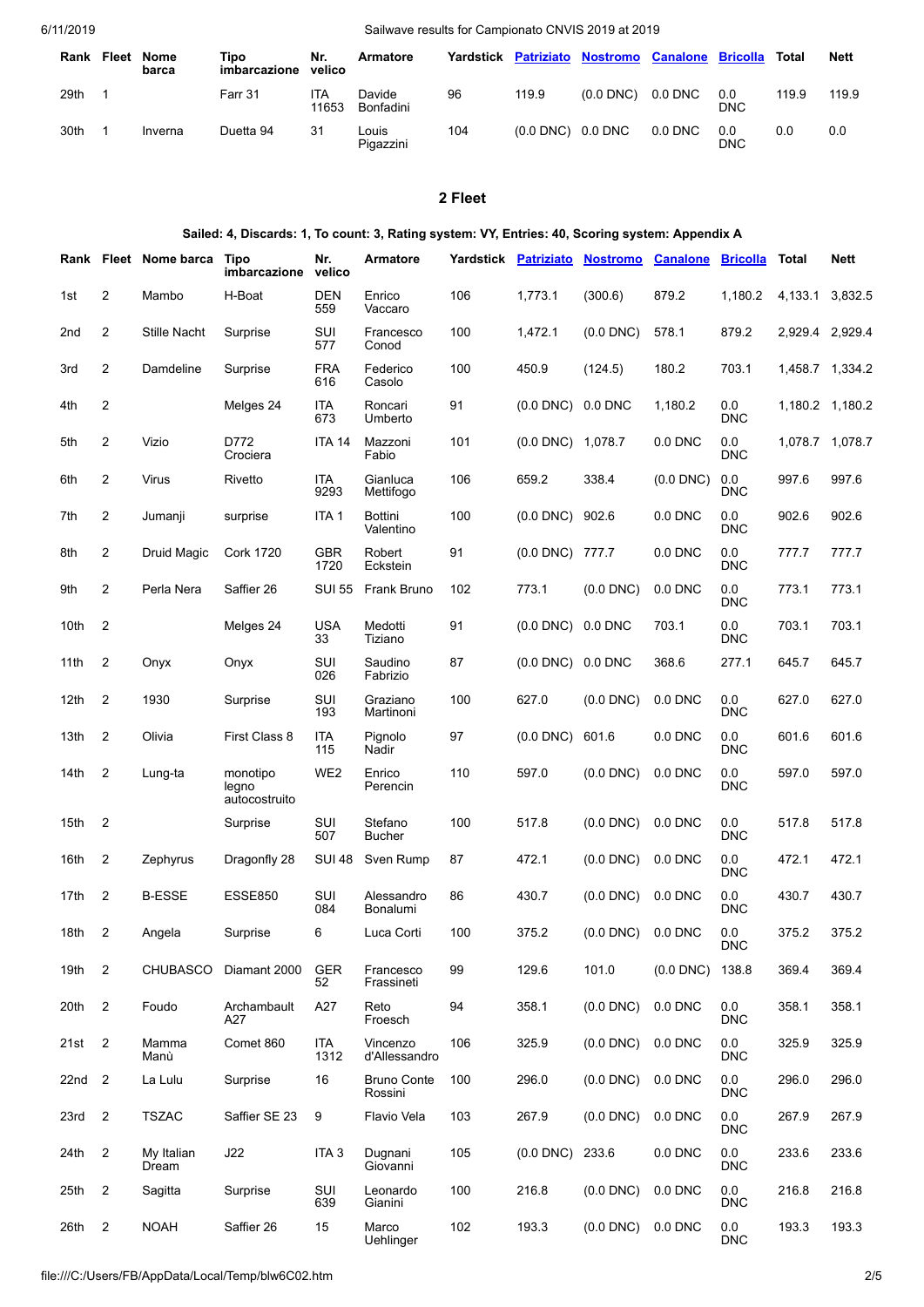| Rank | Fleet | <b>Nome</b><br>barca | Tipo<br>imbarcazione | Nr.<br>velico | Armatore            |     | Yardstick Patriziato        | <b>Nostromo Canalone</b> |           | <b>Bricolla</b>   | Total | <b>Nett</b> |
|------|-------|----------------------|----------------------|---------------|---------------------|-----|-----------------------------|--------------------------|-----------|-------------------|-------|-------------|
| 29th |       |                      | Farr 31              | ITA<br>11653  | Davide<br>Bonfadini | 96  | 119.9                       | $(0.0$ DNC)              | $0.0$ DNC | 0.0<br><b>DNC</b> | 119.9 | 119.9       |
| 30th |       | Inverna              | Duetta 94            | 31            | Louis<br>Pigazzini  | 104 | $(0.0 \text{ DNC})$ 0.0 DNC |                          | $0.0$ DNC | 0.0<br><b>DNC</b> | 0.0   | 0.0         |

# **2 Fleet**

| Sailed: 4, Discards: 1, To count: 3, Rating system: VY, Entries: 40, Scoring system: Appendix A |                |                            |                                    |                   |                               |     |                        |                                                 |                |                   |                 |             |
|-------------------------------------------------------------------------------------------------|----------------|----------------------------|------------------------------------|-------------------|-------------------------------|-----|------------------------|-------------------------------------------------|----------------|-------------------|-----------------|-------------|
|                                                                                                 |                | Rank Fleet Nome barca Tipo | imbarcazione                       | Nr.<br>velico     | Armatore                      |     |                        | Yardstick Patriziato Nostromo Canalone Bricolla |                |                   | Total           | <b>Nett</b> |
| 1st                                                                                             | 2              | Mambo                      | H-Boat                             | DEN<br>559        | Enrico<br>Vaccaro             | 106 | 1,773.1                | (300.6)                                         | 879.2          | 1,180.2           | 4,133.1         | 3,832.5     |
| 2nd                                                                                             | $\overline{c}$ | Stille Nacht               | Surprise                           | SUI<br>577        | Francesco<br>Conod            | 100 | 1,472.1                | $(0.0$ DNC $)$                                  | 578.1          | 879.2             | 2,929.4 2,929.4 |             |
| 3rd                                                                                             | 2              | Damdeline                  | Surprise                           | <b>FRA</b><br>616 | Federico<br>Casolo            | 100 | 450.9                  | (124.5)                                         | 180.2          | 703.1             | 1,458.7 1,334.2 |             |
| 4th                                                                                             | $\overline{2}$ |                            | Melges 24                          | ITA<br>673        | Roncari<br>Umberto            | 91  | $(0.0$ DNC $)$ 0.0 DNC |                                                 | 1,180.2        | 0.0<br><b>DNC</b> | 1,180.2 1,180.2 |             |
| 5th                                                                                             | $\overline{2}$ | Vizio                      | D772<br>Crociera                   | <b>ITA 14</b>     | Mazzoni<br>Fabio              | 101 | $(0.0$ DNC $)$ 1,078.7 |                                                 | $0.0$ DNC      | 0.0<br><b>DNC</b> | 1,078.7 1,078.7 |             |
| 6th                                                                                             | $\overline{c}$ | <b>Virus</b>               | Rivetto                            | ITA<br>9293       | Gianluca<br>Mettifogo         | 106 | 659.2                  | 338.4                                           | $(0.0$ DNC $)$ | 0.0<br><b>DNC</b> | 997.6           | 997.6       |
| 7th                                                                                             | 2              | Jumanji                    | surprise                           | ITA 1             | Bottini<br>Valentino          | 100 | $(0.0$ DNC $)$ 902.6   |                                                 | $0.0$ DNC      | 0.0<br><b>DNC</b> | 902.6           | 902.6       |
| 8th                                                                                             | 2              | Druid Magic                | <b>Cork 1720</b>                   | GBR<br>1720       | Robert<br>Eckstein            | 91  | (0.0 DNC) 777.7        |                                                 | 0.0 DNC        | 0.0<br><b>DNC</b> | 777.7           | 777.7       |
| 9th                                                                                             | 2              | Perla Nera                 | Saffier 26                         | <b>SUI 55</b>     | Frank Bruno                   | 102 | 773.1                  | $(0.0$ DNC $)$                                  | 0.0 DNC        | 0.0<br>DNC        | 773.1           | 773.1       |
| 10th                                                                                            | 2              |                            | Melges 24                          | <b>USA</b><br>33  | Medotti<br>Tiziano            | 91  | $(0.0$ DNC $)$ 0.0 DNC |                                                 | 703.1          | 0.0<br><b>DNC</b> | 703.1           | 703.1       |
| 11th                                                                                            | 2              | Onyx                       | Onyx                               | SUI<br>026        | Saudino<br>Fabrizio           | 87  | $(0.0$ DNC $)$ 0.0 DNC |                                                 | 368.6          | 277.1             | 645.7           | 645.7       |
| 12 <sub>th</sub>                                                                                | 2              | 1930                       | Surprise                           | SUI<br>193        | Graziano<br>Martinoni         | 100 | 627.0                  | $(0.0$ DNC $)$                                  | $0.0$ DNC      | 0.0<br><b>DNC</b> | 627.0           | 627.0       |
| 13th                                                                                            | $\overline{2}$ | Olivia                     | First Class 8                      | ITA<br>115        | Pignolo<br>Nadir              | 97  | $(0.0$ DNC $)$         | 601.6                                           | 0.0 DNC        | 0.0<br><b>DNC</b> | 601.6           | 601.6       |
| 14th                                                                                            | $\overline{2}$ | Lung-ta                    | monotipo<br>legno<br>autocostruito | WE <sub>2</sub>   | Enrico<br>Perencin            | 110 | 597.0                  | $(0.0$ DNC $)$                                  | 0.0 DNC        | 0.0<br><b>DNC</b> | 597.0           | 597.0       |
| 15th                                                                                            | 2              |                            | Surprise                           | SUI<br>507        | Stefano<br><b>Bucher</b>      | 100 | 517.8                  | $(0.0$ DNC $)$                                  | $0.0$ DNC      | 0.0<br><b>DNC</b> | 517.8           | 517.8       |
| 16th                                                                                            | 2              | Zephyrus                   | Dragonfly 28                       | <b>SUI 48</b>     | Sven Rump                     | 87  | 472.1                  | $(0.0$ DNC $)$                                  | 0.0 DNC        | 0.0<br><b>DNC</b> | 472.1           | 472.1       |
| 17th                                                                                            | 2              | <b>B-ESSE</b>              | <b>ESSE850</b>                     | SUI<br>084        | Alessandro<br>Bonalumi        | 86  | 430.7                  | $(0.0$ DNC $)$                                  | 0.0 DNC        | 0.0<br><b>DNC</b> | 430.7           | 430.7       |
| 18th                                                                                            | 2              | Angela                     | Surprise                           | 6                 | Luca Corti                    | 100 | 375.2                  | $(0.0$ DNC $)$                                  | 0.0 DNC        | 0.0<br><b>DNC</b> | 375.2           | 375.2       |
| 19th                                                                                            | 2              | <b>CHUBASCO</b>            | Diamant 2000                       | <b>GER</b><br>52  | Francesco<br>Frassineti       | 99  | 129.6                  | 101.0                                           | $(0.0$ DNC $)$ | 138.8             | 369.4           | 369.4       |
| 20th                                                                                            | $\overline{2}$ | Foudo                      | Archambault<br>A27                 | A27               | Reto<br>Froesch               | 94  | 358.1                  | $(0.0$ DNC $)$                                  | 0.0 DNC        | 0.0<br><b>DNC</b> | 358.1           | 358.1       |
| 21st                                                                                            | $\overline{2}$ | Mamma<br>Manù              | Comet 860                          | ITA<br>1312       | Vincenzo<br>d'Allessandro     | 106 | 325.9                  | $(0.0$ DNC $)$                                  | 0.0 DNC        | 0.0<br><b>DNC</b> | 325.9           | 325.9       |
| 22nd                                                                                            | 2              | La Lulu                    | Surprise                           | 16                | <b>Bruno Conte</b><br>Rossini | 100 | 296.0                  | $(0.0$ DNC $)$                                  | 0.0 DNC        | 0.0<br><b>DNC</b> | 296.0           | 296.0       |
| 23rd                                                                                            | 2              | <b>TSZAC</b>               | Saffier SE 23                      | 9                 | Flavio Vela                   | 103 | 267.9                  | $(0.0$ DNC $)$                                  | 0.0 DNC        | 0.0<br><b>DNC</b> | 267.9           | 267.9       |
| 24th                                                                                            | 2              | My Italian<br>Dream        | J22                                | ITA <sub>3</sub>  | Dugnani<br>Giovanni           | 105 | $(0.0$ DNC $)$         | 233.6                                           | 0.0 DNC        | 0.0<br><b>DNC</b> | 233.6           | 233.6       |
| 25th                                                                                            | 2              | Sagitta                    | Surprise                           | SUI<br>639        | Leonardo<br>Gianini           | 100 | 216.8                  | $(0.0$ DNC $)$                                  | 0.0 DNC        | 0.0<br><b>DNC</b> | 216.8           | 216.8       |
| 26th                                                                                            | 2              | <b>NOAH</b>                | Saffier 26                         | 15                | Marco<br>Uehlinger            | 102 | 193.3                  | $(0.0$ DNC $)$                                  | 0.0 DNC        | 0.0<br><b>DNC</b> | 193.3           | 193.3       |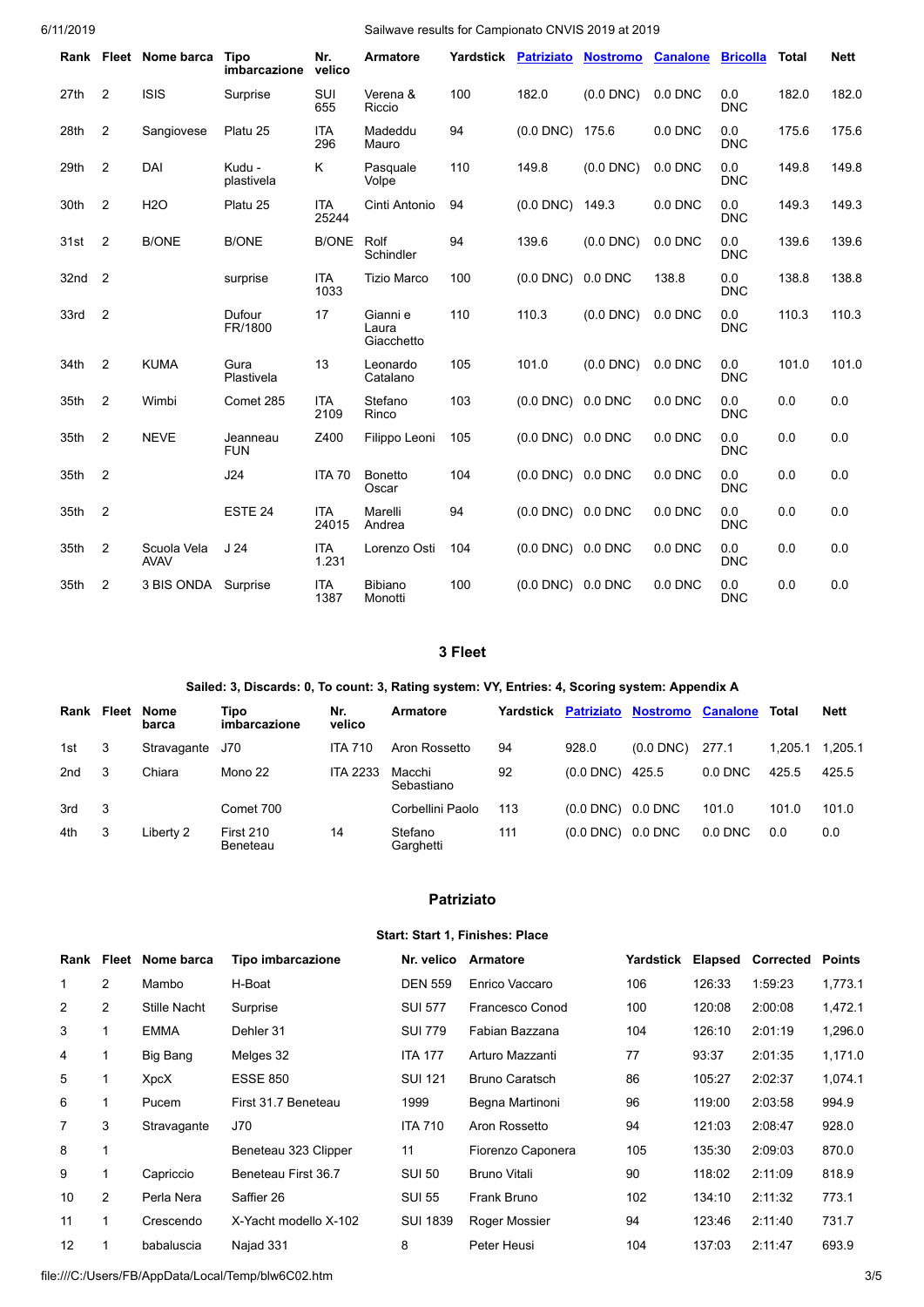|      |                | Rank Fleet Nome barca      | <b>Tipo</b><br>imbarcazione | Nr.<br>velico       | <b>Armatore</b>                 | Yardstick | <b>Patriziato</b> | <b>Nostromo</b> | <b>Canalone</b> | <b>Bricolla</b>   | <b>Total</b> | <b>Nett</b> |
|------|----------------|----------------------------|-----------------------------|---------------------|---------------------------------|-----------|-------------------|-----------------|-----------------|-------------------|--------------|-------------|
| 27th | $\overline{2}$ | <b>ISIS</b>                | Surprise                    | SUI<br>655          | Verena &<br>Riccio              | 100       | 182.0             | $(0.0$ DNC $)$  | $0.0$ DNC       | 0.0<br><b>DNC</b> | 182.0        | 182.0       |
| 28th | $\overline{2}$ | Sangiovese                 | Platu 25                    | <b>ITA</b><br>296   | Madeddu<br>Mauro                | 94        | $(0.0$ DNC)       | 175.6           | 0.0 DNC         | 0.0<br><b>DNC</b> | 175.6        | 175.6       |
| 29th | $\overline{2}$ | DAI                        | Kudu -<br>plastivela        | Κ                   | Pasquale<br>Volpe               | 110       | 149.8             | $(0.0$ DNC $)$  | $0.0$ DNC       | 0.0<br><b>DNC</b> | 149.8        | 149.8       |
| 30th | 2              | <b>H2O</b>                 | Platu 25                    | <b>ITA</b><br>25244 | Cinti Antonio                   | 94        | $(0.0$ DNC $)$    | 149.3           | $0.0$ DNC       | 0.0<br><b>DNC</b> | 149.3        | 149.3       |
| 31st | $\overline{2}$ | <b>B/ONE</b>               | <b>B/ONE</b>                | <b>B/ONE</b>        | Rolf<br>Schindler               | 94        | 139.6             | $(0.0$ DNC $)$  | $0.0$ DNC       | 0.0<br><b>DNC</b> | 139.6        | 139.6       |
| 32nd | $\overline{2}$ |                            | surprise                    | <b>ITA</b><br>1033  | <b>Tizio Marco</b>              | 100       | $(0.0$ DNC $)$    | 0.0 DNC         | 138.8           | 0.0<br><b>DNC</b> | 138.8        | 138.8       |
| 33rd | $\overline{2}$ |                            | Dufour<br>FR/1800           | 17                  | Gianni e<br>Laura<br>Giacchetto | 110       | 110.3             | $(0.0$ DNC $)$  | $0.0$ DNC       | 0.0<br><b>DNC</b> | 110.3        | 110.3       |
| 34th | $\overline{2}$ | <b>KUMA</b>                | Gura<br>Plastivela          | 13                  | Leonardo<br>Catalano            | 105       | 101.0             | $(0.0$ DNC $)$  | $0.0$ DNC       | 0.0<br><b>DNC</b> | 101.0        | 101.0       |
| 35th | $\overline{2}$ | Wimbi                      | Comet 285                   | <b>ITA</b><br>2109  | Stefano<br>Rinco                | 103       | $(0.0$ DNC $)$    | 0.0 DNC         | $0.0$ DNC       | 0.0<br><b>DNC</b> | 0.0          | 0.0         |
| 35th | $\overline{2}$ | <b>NEVE</b>                | Jeanneau<br><b>FUN</b>      | Z400                | Filippo Leoni                   | 105       | $(0.0$ DNC $)$    | 0.0 DNC         | $0.0$ DNC       | 0.0<br><b>DNC</b> | 0.0          | 0.0         |
| 35th | $\overline{2}$ |                            | J24                         | <b>ITA 70</b>       | <b>Bonetto</b><br>Oscar         | 104       | $(0.0$ DNC $)$    | 0.0 DNC         | $0.0$ DNC       | 0.0<br><b>DNC</b> | 0.0          | 0.0         |
| 35th | $\overline{2}$ |                            | ESTE <sub>24</sub>          | <b>ITA</b><br>24015 | Marelli<br>Andrea               | 94        | $(0.0$ DNC $)$    | 0.0 DNC         | $0.0$ DNC       | 0.0<br><b>DNC</b> | 0.0          | 0.0         |
| 35th | $\overline{2}$ | Scuola Vela<br><b>AVAV</b> | J <sub>24</sub>             | <b>ITA</b><br>1.231 | Lorenzo Osti                    | 104       | $(0.0$ DNC $)$    | 0.0 DNC         | 0.0 DNC         | 0.0<br><b>DNC</b> | 0.0          | 0.0         |
| 35th | 2              | 3 BIS ONDA                 | Surprise                    | <b>ITA</b><br>1387  | <b>Bibiano</b><br>Monotti       | 100       | $(0.0$ DNC $)$    | 0.0 DNC         | $0.0$ DNC       | 0.0<br><b>DNC</b> | 0.0          | 0.0         |

#### **3 Fleet**

#### **Sailed: 3, Discards: 0, To count: 3, Rating system: VY, Entries: 4, Scoring system: Appendix A**

| Rank | Fleet | Nome<br>barca | Tipo<br>imbarcazione         | Nr.<br>velico   | Armatore             | Yardstick |                | <b>Patriziato Nostromo</b> | <b>Canalone</b> | Total   | <b>Nett</b> |
|------|-------|---------------|------------------------------|-----------------|----------------------|-----------|----------------|----------------------------|-----------------|---------|-------------|
| 1st  | 3     | Stravagante   | J70                          | <b>ITA 710</b>  | Aron Rossetto        | 94        | 928.0          | $(0.0$ DNC)                | 277.1           | 1.205.1 | 1,205.1     |
| 2nd  | 3     | Chiara        | Mono 22                      | <b>ITA 2233</b> | Macchi<br>Sebastiano | 92        | $(0.0$ DNC)    | 425.5                      | $0.0$ DNC       | 425.5   | 425.5       |
| 3rd  | 3     |               | Comet 700                    |                 | Corbellini Paolo     | 113       | $(0.0$ DNC $)$ | $0.0$ DNC                  | 101.0           | 101.0   | 101.0       |
| 4th  | 3     | Liberty 2     | <b>First 210</b><br>Beneteau | 14              | Stefano<br>Garghetti | 111       | $(0.0$ DNC)    | $0.0$ DNC                  | $0.0$ DNC       | 0.0     | 0.0         |

#### **Patriziato**

#### **Start: Start 1, Finishes: Place**

| Rank |                | Fleet Nome barca | Tipo imbarcazione     | Nr. velico      | Armatore              | Yardstick | Elapsed | Corrected | <b>Points</b> |
|------|----------------|------------------|-----------------------|-----------------|-----------------------|-----------|---------|-----------|---------------|
|      | $\overline{2}$ | Mambo            | H-Boat                | <b>DEN 559</b>  | Enrico Vaccaro        | 106       | 126:33  | 1:59:23   | 1,773.1       |
| 2    | $\overline{2}$ | Stille Nacht     | Surprise              | <b>SUI 577</b>  | Francesco Conod       | 100       | 120:08  | 2:00:08   | 1,472.1       |
| 3    |                | <b>EMMA</b>      | Dehler 31             | <b>SUI 779</b>  | Fabian Bazzana        | 104       | 126:10  | 2:01:19   | 1,296.0       |
| 4    |                | Big Bang         | Melges 32             | <b>ITA 177</b>  | Arturo Mazzanti       | 77        | 93:37   | 2:01:35   | 1,171.0       |
| 5    |                | XpcX             | <b>ESSE 850</b>       | <b>SUI 121</b>  | <b>Bruno Caratsch</b> | 86        | 105:27  | 2:02:37   | 1,074.1       |
| 6    |                | Pucem            | First 31.7 Beneteau   | 1999            | Begna Martinoni       | 96        | 119:00  | 2:03:58   | 994.9         |
| 7    | 3              | Stravagante      | J70                   | <b>ITA 710</b>  | Aron Rossetto         | 94        | 121:03  | 2:08:47   | 928.0         |
| 8    | 1              |                  | Beneteau 323 Clipper  | 11              | Fiorenzo Caponera     | 105       | 135:30  | 2:09:03   | 870.0         |
| 9    |                | Capriccio        | Beneteau First 36.7   | <b>SUI 50</b>   | <b>Bruno Vitali</b>   | 90        | 118:02  | 2:11:09   | 818.9         |
| 10   | $\overline{2}$ | Perla Nera       | Saffier 26            | <b>SUI 55</b>   | Frank Bruno           | 102       | 134:10  | 2:11:32   | 773.1         |
| 11   | 1              | Crescendo        | X-Yacht modello X-102 | <b>SUI 1839</b> | Roger Mossier         | 94        | 123:46  | 2:11:40   | 731.7         |
| 12   |                | babaluscia       | Najad 331             | 8               | Peter Heusi           | 104       | 137:03  | 2:11:47   | 693.9         |

file:///C:/Users/FB/AppData/Local/Temp/blw6C02.htm 3/5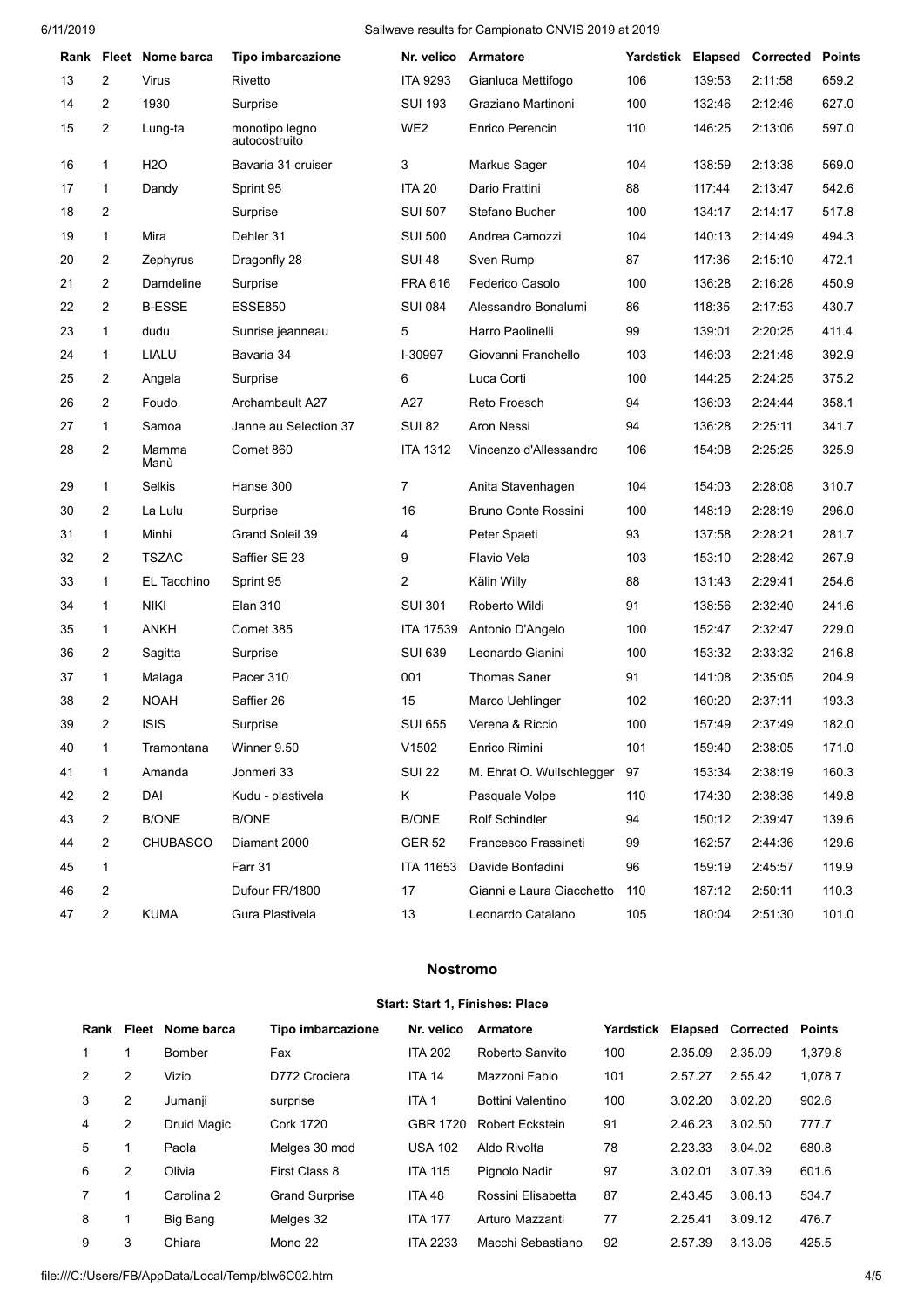|    |   | Rank Fleet Nome barca | Tipo imbarcazione               | Nr. velico       | <b>Armatore</b>            | Yardstick Elapsed |        | Corrected | <b>Points</b> |
|----|---|-----------------------|---------------------------------|------------------|----------------------------|-------------------|--------|-----------|---------------|
| 13 | 2 | Virus                 | Rivetto                         | <b>ITA 9293</b>  | Gianluca Mettifogo         | 106               | 139:53 | 2:11:58   | 659.2         |
| 14 | 2 | 1930                  | Surprise                        | <b>SUI 193</b>   | Graziano Martinoni         | 100               | 132:46 | 2:12:46   | 627.0         |
| 15 | 2 | Lung-ta               | monotipo legno<br>autocostruito | WE <sub>2</sub>  | Enrico Perencin            | 110               | 146:25 | 2:13:06   | 597.0         |
| 16 | 1 | H <sub>2</sub> O      | Bavaria 31 cruiser              | 3                | Markus Sager               | 104               | 138:59 | 2:13:38   | 569.0         |
| 17 | 1 | Dandy                 | Sprint 95                       | <b>ITA 20</b>    | Dario Frattini             | 88                | 117:44 | 2:13:47   | 542.6         |
| 18 | 2 |                       | Surprise                        | <b>SUI 507</b>   | Stefano Bucher             | 100               | 134:17 | 2:14:17   | 517.8         |
| 19 | 1 | Mira                  | Dehler 31                       | <b>SUI 500</b>   | Andrea Camozzi             | 104               | 140:13 | 2:14:49   | 494.3         |
| 20 | 2 | Zephyrus              | Dragonfly 28                    | <b>SUI 48</b>    | Sven Rump                  | 87                | 117:36 | 2:15:10   | 472.1         |
| 21 | 2 | Damdeline             | Surprise                        | <b>FRA 616</b>   | Federico Casolo            | 100               | 136:28 | 2:16:28   | 450.9         |
| 22 | 2 | <b>B-ESSE</b>         | <b>ESSE850</b>                  | <b>SUI 084</b>   | Alessandro Bonalumi        | 86                | 118:35 | 2:17:53   | 430.7         |
| 23 | 1 | dudu                  | Sunrise jeanneau                | 5                | Harro Paolinelli           | 99                | 139:01 | 2:20:25   | 411.4         |
| 24 | 1 | LIALU                 | Bavaria 34                      | I-30997          | Giovanni Franchello        | 103               | 146:03 | 2:21:48   | 392.9         |
| 25 | 2 | Angela                | Surprise                        | 6                | Luca Corti                 | 100               | 144:25 | 2:24:25   | 375.2         |
| 26 | 2 | Foudo                 | Archambault A27                 | A27              | Reto Froesch               | 94                | 136:03 | 2:24:44   | 358.1         |
| 27 | 1 | Samoa                 | Janne au Selection 37           | <b>SUI 82</b>    | Aron Nessi                 | 94                | 136:28 | 2:25:11   | 341.7         |
| 28 | 2 | Mamma<br>Manù         | Comet 860                       | <b>ITA 1312</b>  | Vincenzo d'Allessandro     | 106               | 154:08 | 2:25:25   | 325.9         |
| 29 | 1 | Selkis                | Hanse 300                       | 7                | Anita Stavenhagen          | 104               | 154:03 | 2:28:08   | 310.7         |
| 30 | 2 | La Lulu               | Surprise                        | 16               | <b>Bruno Conte Rossini</b> | 100               | 148:19 | 2:28:19   | 296.0         |
| 31 | 1 | Minhi                 | Grand Soleil 39                 | 4                | Peter Spaeti               | 93                | 137:58 | 2:28:21   | 281.7         |
| 32 | 2 | <b>TSZAC</b>          | Saffier SE 23                   | 9                | Flavio Vela                | 103               | 153:10 | 2:28:42   | 267.9         |
| 33 | 1 | EL Tacchino           | Sprint 95                       | 2                | Kälin Willy                | 88                | 131:43 | 2:29:41   | 254.6         |
| 34 | 1 | <b>NIKI</b>           | <b>Elan 310</b>                 | <b>SUI 301</b>   | Roberto Wildi              | 91                | 138:56 | 2:32:40   | 241.6         |
| 35 | 1 | <b>ANKH</b>           | Comet 385                       | <b>ITA 17539</b> | Antonio D'Angelo           | 100               | 152:47 | 2:32:47   | 229.0         |
| 36 | 2 | Sagitta               | Surprise                        | <b>SUI 639</b>   | Leonardo Gianini           | 100               | 153:32 | 2:33:32   | 216.8         |
| 37 | 1 | Malaga                | Pacer 310                       | 001              | <b>Thomas Saner</b>        | 91                | 141:08 | 2:35:05   | 204.9         |
| 38 | 2 | <b>NOAH</b>           | Saffier 26                      | 15               | Marco Uehlinger            | 102               | 160:20 | 2:37:11   | 193.3         |
| 39 | 2 | <b>ISIS</b>           | Surprise                        | <b>SUI 655</b>   | Verena & Riccio            | 100               | 157:49 | 2:37:49   | 182.0         |
| 40 | 1 | Tramontana            | Winner 9.50                     | V1502            | Enrico Rimini              | 101               | 159:40 | 2:38:05   | 171.0         |
| 41 | 1 | Amanda                | Jonmeri 33                      | <b>SUI 22</b>    | M. Ehrat O. Wullschlegger  | 97                | 153:34 | 2:38:19   | 160.3         |
| 42 | 2 | DAI                   | Kudu - plastivela               | Κ                | Pasquale Volpe             | 110               | 174:30 | 2:38:38   | 149.8         |
| 43 | 2 | <b>B/ONE</b>          | <b>B/ONE</b>                    | <b>B/ONE</b>     | Rolf Schindler             | 94                | 150:12 | 2:39:47   | 139.6         |
| 44 | 2 | <b>CHUBASCO</b>       | Diamant 2000                    | <b>GER 52</b>    | Francesco Frassineti       | 99                | 162:57 | 2:44:36   | 129.6         |
| 45 | 1 |                       | Farr 31                         | ITA 11653        | Davide Bonfadini           | 96                | 159:19 | 2:45:57   | 119.9         |
| 46 | 2 |                       | Dufour FR/1800                  | 17               | Gianni e Laura Giacchetto  | 110               | 187:12 | 2:50:11   | 110.3         |
| 47 | 2 | <b>KUMA</b>           | Gura Plastivela                 | 13               | Leonardo Catalano          | 105               | 180:04 | 2:51:30   | 101.0         |
|    |   |                       |                                 |                  |                            |                   |        |           |               |

#### **Nostromo**

#### **Start: Start 1, Finishes: Place**

| Rank          | Fleet | Nome barca  | Tipo imbarcazione     | Nr. velico      | Armatore               | Yardstick | Elapsed | <b>Corrected</b> | Points  |
|---------------|-------|-------------|-----------------------|-----------------|------------------------|-----------|---------|------------------|---------|
|               |       | Bomber      | Fax                   | <b>ITA 202</b>  | Roberto Sanvito        | 100       | 2.35.09 | 2.35.09          | 1.379.8 |
| $\mathcal{P}$ | 2     | Vizio       | D772 Crociera         | <b>ITA 14</b>   | Mazzoni Fabio          | 101       | 2.57.27 | 2.55.42          | 1.078.7 |
| 3             | 2     | Jumanii     | surprise              | ITA 1           | Bottini Valentino      | 100       | 3.02.20 | 3.02.20          | 902.6   |
| 4             | 2     | Druid Magic | Cork 1720             | GBR 1720        | <b>Robert Eckstein</b> | 91        | 2.46.23 | 3.02.50          | 777.7   |
| 5             |       | Paola       | Melges 30 mod         | <b>USA 102</b>  | Aldo Rivolta           | 78        | 2.23.33 | 3.04.02          | 680.8   |
| 6             | 2     | Olivia      | First Class 8         | <b>ITA 115</b>  | Pignolo Nadir          | 97        | 3.02.01 | 3.07.39          | 601.6   |
|               |       | Carolina 2  | <b>Grand Surprise</b> | <b>ITA 48</b>   | Rossini Elisabetta     | 87        | 2.43.45 | 3.08.13          | 534.7   |
| 8             |       | Big Bang    | Melges 32             | <b>ITA 177</b>  | Arturo Mazzanti        | 77        | 2.25.41 | 3.09.12          | 476.7   |
| 9             | 3     | Chiara      | Mono 22               | <b>ITA 2233</b> | Macchi Sebastiano      | 92        | 2.57.39 | 3.13.06          | 425.5   |

file:///C:/Users/FB/AppData/Local/Temp/blw6C02.htm 4/5